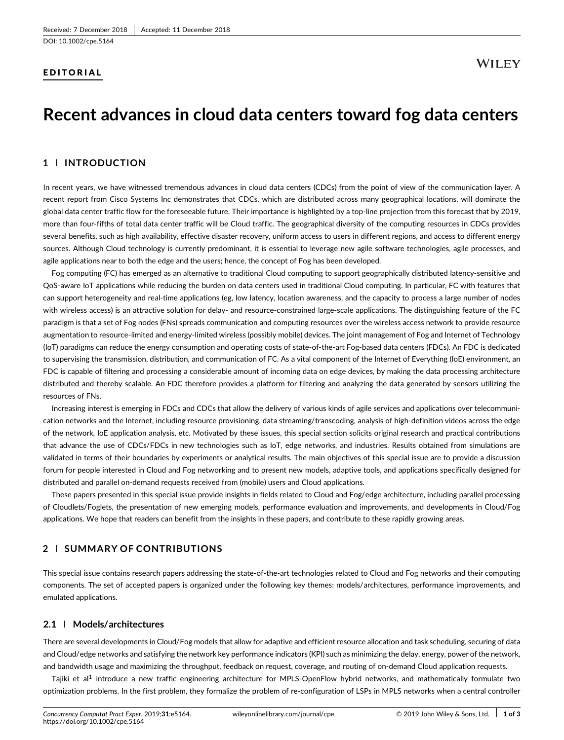DOI: [10.1002/cpe.5164](https://doi.org/10.1002/cpe.5164)

## EDITORIAL

**WILEY** 

# **Recent advances in cloud data centers toward fog data centers**

# **1 INTRODUCTION**

In recent years, we have witnessed tremendous advances in cloud data centers (CDCs) from the point of view of the communication layer. A recent report from Cisco Systems Inc demonstrates that CDCs, which are distributed across many geographical locations, will dominate the global data center traffic flow for the foreseeable future. Their importance is highlighted by a top-line projection from this forecast that by 2019, more than four-fifths of total data center traffic will be Cloud traffic. The geographical diversity of the computing resources in CDCs provides several benefits, such as high availability, effective disaster recovery, uniform access to users in different regions, and access to different energy sources. Although Cloud technology is currently predominant, it is essential to leverage new agile software technologies, agile processes, and agile applications near to both the edge and the users; hence, the concept of Fog has been developed.

Fog computing (FC) has emerged as an alternative to traditional Cloud computing to support geographically distributed latency-sensitive and QoS-aware IoT applications while reducing the burden on data centers used in traditional Cloud computing. In particular, FC with features that can support heterogeneity and real-time applications (eg, low latency, location awareness, and the capacity to process a large number of nodes with wireless access) is an attractive solution for delay- and resource-constrained large-scale applications. The distinguishing feature of the FC paradigm is that a set of Fog nodes (FNs) spreads communication and computing resources over the wireless access network to provide resource augmentation to resource-limited and energy-limited wireless (possibly mobile) devices. The joint management of Fog and Internet of Technology (IoT) paradigms can reduce the energy consumption and operating costs of state-of-the-art Fog-based data centers (FDCs). An FDC is dedicated to supervising the transmission, distribution, and communication of FC. As a vital component of the Internet of Everything (IoE) environment, an FDC is capable of filtering and processing a considerable amount of incoming data on edge devices, by making the data processing architecture distributed and thereby scalable. An FDC therefore provides a platform for filtering and analyzing the data generated by sensors utilizing the resources of FNs.

Increasing interest is emerging in FDCs and CDCs that allow the delivery of various kinds of agile services and applications over telecommunication networks and the Internet, including resource provisioning, data streaming/transcoding, analysis of high-definition videos across the edge of the network, IoE application analysis, etc. Motivated by these issues, this special section solicits original research and practical contributions that advance the use of CDCs/FDCs in new technologies such as IoT, edge networks, and industries. Results obtained from simulations are validated in terms of their boundaries by experiments or analytical results. The main objectives of this special issue are to provide a discussion forum for people interested in Cloud and Fog networking and to present new models, adaptive tools, and applications specifically designed for distributed and parallel on-demand requests received from (mobile) users and Cloud applications.

These papers presented in this special issue provide insights in fields related to Cloud and Fog/edge architecture, including parallel processing of Cloudlets/Foglets, the presentation of new emerging models, performance evaluation and improvements, and developments in Cloud/Fog applications. We hope that readers can benefit from the insights in these papers, and contribute to these rapidly growing areas.

# **2 SUMMARY OF CONTRIBUTIONS**

This special issue contains research papers addressing the state-of-the-art technologies related to Cloud and Fog networks and their computing components. The set of accepted papers is organized under the following key themes: models/architectures, performance improvements, and emulated applications.

## **2.1 Models/architectures**

There are several developments in Cloud/Fog models that allow for adaptive and efficient resource allocation and task scheduling, securing of data and Cloud/edge networks and satisfying the network key performance indicators (KPI) such as minimizing the delay, energy, power of the network, and bandwidth usage and maximizing the throughput, feedback on request, coverage, and routing of on-demand Cloud application requests.

Tajiki et al<sup>1</sup> introduce a new traffic engineering architecture for MPLS-OpenFlow hybrid networks, and mathematically formulate two optimization problems. In the first problem, they formalize the problem of re-configuration of LSPs in MPLS networks when a central controller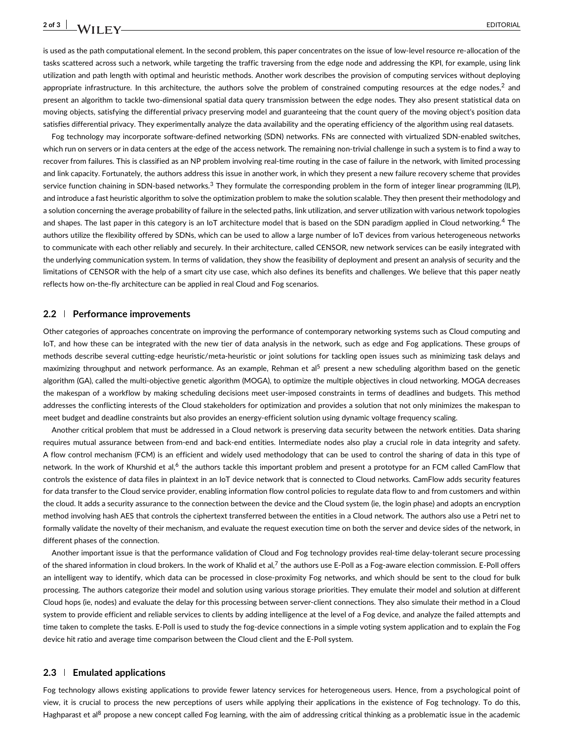is used as the path computational element. In the second problem, this paper concentrates on the issue of low-level resource re-allocation of the tasks scattered across such a network, while targeting the traffic traversing from the edge node and addressing the KPI, for example, using link utilization and path length with optimal and heuristic methods. Another work describes the provision of computing services without deploying appropriate infrastructure. In this architecture, the authors solve the problem of constrained computing resources at the edge nodes, $<sup>2</sup>$  $<sup>2</sup>$  $<sup>2</sup>$  and</sup> present an algorithm to tackle two-dimensional spatial data query transmission between the edge nodes. They also present statistical data on moving objects, satisfying the differential privacy preserving model and guaranteeing that the count query of the moving object's position data satisfies differential privacy. They experimentally analyze the data availability and the operating efficiency of the algorithm using real datasets.

Fog technology may incorporate software-defined networking (SDN) networks. FNs are connected with virtualized SDN-enabled switches, which run on servers or in data centers at the edge of the access network. The remaining non-trivial challenge in such a system is to find a way to recover from failures. This is classified as an NP problem involving real-time routing in the case of failure in the network, with limited processing and link capacity. Fortunately, the authors address this issue in another work, in which they present a new failure recovery scheme that provides service function chaining in SDN-based networks.<sup>[3](#page-2-3)</sup> They formulate the corresponding problem in the form of integer linear programming (ILP), and introduce a fast heuristic algorithm to solve the optimization problem to make the solution scalable. They then present their methodology and a solution concerning the average probability of failure in the selected paths, link utilization, and server utilization with various network topologies and shapes. The last paper in this category is an IoT architecture model that is based on the SDN paradigm applied in Cloud networking.<sup>[4](#page-2-4)</sup> The authors utilize the flexibility offered by SDNs, which can be used to allow a large number of IoT devices from various heterogeneous networks to communicate with each other reliably and securely. In their architecture, called CENSOR, new network services can be easily integrated with the underlying communication system. In terms of validation, they show the feasibility of deployment and present an analysis of security and the limitations of CENSOR with the help of a smart city use case, which also defines its benefits and challenges. We believe that this paper neatly reflects how on-the-fly architecture can be applied in real Cloud and Fog scenarios.

### **2.2 Performance improvements**

Other categories of approaches concentrate on improving the performance of contemporary networking systems such as Cloud computing and IoT, and how these can be integrated with the new tier of data analysis in the network, such as edge and Fog applications. These groups of methods describe several cutting-edge heuristic/meta-heuristic or joint solutions for tackling open issues such as minimizing task delays and maximizing throughput and network performance. As an example, Rehman et al<sup>5</sup> present a new scheduling algorithm based on the genetic algorithm (GA), called the multi-objective genetic algorithm (MOGA), to optimize the multiple objectives in cloud networking. MOGA decreases the makespan of a workflow by making scheduling decisions meet user-imposed constraints in terms of deadlines and budgets. This method addresses the conflicting interests of the Cloud stakeholders for optimization and provides a solution that not only minimizes the makespan to meet budget and deadline constraints but also provides an energy-efficient solution using dynamic voltage frequency scaling.

Another critical problem that must be addressed in a Cloud network is preserving data security between the network entities. Data sharing requires mutual assurance between from-end and back-end entities. Intermediate nodes also play a crucial role in data integrity and safety. A flow control mechanism (FCM) is an efficient and widely used methodology that can be used to control the sharing of data in this type of network. In the work of Khurshid et al,<sup>[6](#page-2-6)</sup> the authors tackle this important problem and present a prototype for an FCM called CamFlow that controls the existence of data files in plaintext in an IoT device network that is connected to Cloud networks. CamFlow adds security features for data transfer to the Cloud service provider, enabling information flow control policies to regulate data flow to and from customers and within the cloud. It adds a security assurance to the connection between the device and the Cloud system (ie, the login phase) and adopts an encryption method involving hash AES that controls the ciphertext transferred between the entities in a Cloud network. The authors also use a Petri net to formally validate the novelty of their mechanism, and evaluate the request execution time on both the server and device sides of the network, in different phases of the connection.

Another important issue is that the performance validation of Cloud and Fog technology provides real-time delay-tolerant secure processing of the shared information in cloud brokers. In the work of Khalid et al,[7](#page-2-7) the authors use E-Poll as a Fog-aware election commission. E-Poll offers an intelligent way to identify, which data can be processed in close-proximity Fog networks, and which should be sent to the cloud for bulk processing. The authors categorize their model and solution using various storage priorities. They emulate their model and solution at different Cloud hops (ie, nodes) and evaluate the delay for this processing between server-client connections. They also simulate their method in a Cloud system to provide efficient and reliable services to clients by adding intelligence at the level of a Fog device, and analyze the failed attempts and time taken to complete the tasks. E-Poll is used to study the fog-device connections in a simple voting system application and to explain the Fog device hit ratio and average time comparison between the Cloud client and the E-Poll system.

## **2.3 Emulated applications**

Fog technology allows existing applications to provide fewer latency services for heterogeneous users. Hence, from a psychological point of view, it is crucial to process the new perceptions of users while applying their applications in the existence of Fog technology. To do this, Haghparast et al<sup>8</sup> propose a new concept called Fog learning, with the aim of addressing critical thinking as a problematic issue in the academic